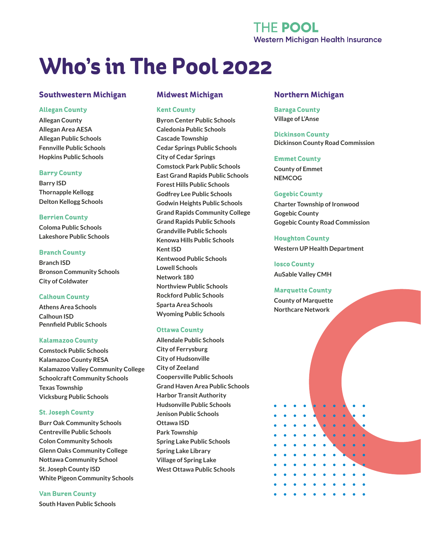# **THE POOL Western Michigan Health Insurance**

# **Who's in The Pool 2022**

# **Southwestern Michigan**

### **Allegan County**

**Allegan County Allegan Area AESA Allegan Public Schools Fennville Public Schools Hopkins Public Schools**

### **Barry County**

**Barry ISD Thornapple Kellogg Delton Kellogg Schools**

### **Berrien County**

**Coloma Public Schools Lakeshore Public Schools**

### **Branch County**

**Branch ISD Bronson Community Schools City of Coldwater**

### **Calhoun County**

**Athens Area Schools Calhoun ISD Pennfield Public Schools**

### **Kalamazoo County**

**Comstock Public Schools Kalamazoo County RESA Kalamazoo Valley Community College Schoolcraft Community Schools Texas Township Vicksburg Public Schools**

## **St. Joseph County**

**Burr Oak Community Schools Centreville Public Schools Colon Community Schools Glenn Oaks Community College Nottawa Community School St. Joseph County ISD White Pigeon Community Schools**

### **Van Buren County**

**South Haven Public Schools**

# **Midwest Michigan**

#### **Kent County**

**Byron Center Public Schools Caledonia Public Schools Cascade Township Cedar Springs Public Schools City of Cedar Springs Comstock Park Public Schools East Grand Rapids Public Schools Forest Hills Public Schools Godfrey Lee Public Schools Godwin Heights Public Schools Grand Rapids Community College Grand Rapids Public Schools Grandville Public Schools Kenowa Hills Public Schools Kent ISD Kentwood Public Schools Lowell Schools Network 180 Northview Public Schools Rockford Public Schools Sparta Area Schools Wyoming Public Schools**

### **Ottawa County**

**Allendale Public Schools City of Ferrysburg City of Hudsonville City of Zeeland Coopersville Public Schools Grand Haven Area Public Schools Harbor Transit Authority Hudsonville Public Schools Jenison Public Schools Ottawa ISD Park Township Spring Lake Public Schools Spring Lake Library Village of Spring Lake West Ottawa Public Schools**

# **Northern Michigan**

**Baraga County Village of L'Anse**

**Dickinson County Dickinson County Road Commission**

### **Emmet County**

**County of Emmet NEMCOG**

### **Gogebic County**

**Charter Township of Ironwood Gogebic County Gogebic County Road Commission**

### **Houghton County**

**Western UP Health Department**

**Iosco County AuSable Valley CMH**

### **Marquette County**

**County of Marquette Northcare Network**